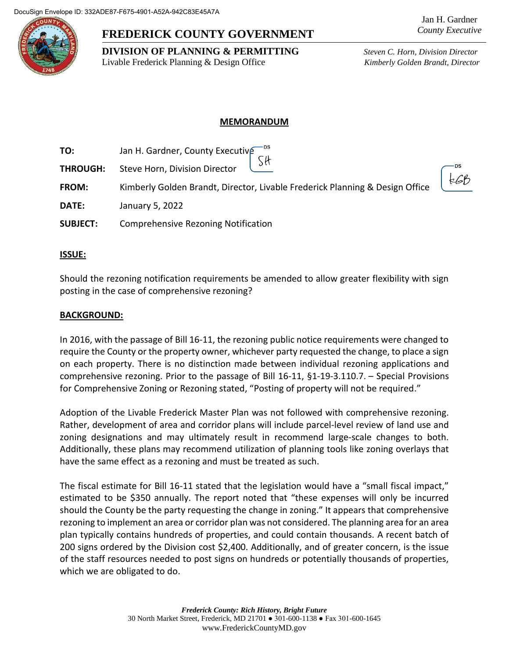

# **FREDERICK COUNTY GOVERNMENT**

**DIVISION OF PLANNING & PERMITTING** *Steven C. Horn, Division Director* Livable Frederick Planning & Design Office *Kimberly Golden Brandt, Director*

## **MEMORANDUM**

**TO:** Jan H. Gardner, County Executive SH **THROUGH:** Steve Horn, Division Director  $266$ **FROM:** Kimberly Golden Brandt, Director, Livable Frederick Planning & Design Office **DATE:** January 5, 2022 **SUBJECT:** Comprehensive Rezoning Notification

### **ISSUE:**

Should the rezoning notification requirements be amended to allow greater flexibility with sign posting in the case of comprehensive rezoning?

#### **BACKGROUND:**

In 2016, with the passage of Bill 16-11, the rezoning public notice requirements were changed to require the County or the property owner, whichever party requested the change, to place a sign on each property. There is no distinction made between individual rezoning applications and comprehensive rezoning. Prior to the passage of Bill 16-11, §1-19-3.110.7. – Special Provisions for Comprehensive Zoning or Rezoning stated, "Posting of property will not be required."

Adoption of the Livable Frederick Master Plan was not followed with comprehensive rezoning. Rather, development of area and corridor plans will include parcel-level review of land use and zoning designations and may ultimately result in recommend large-scale changes to both. Additionally, these plans may recommend utilization of planning tools like zoning overlays that have the same effect as a rezoning and must be treated as such.

The fiscal estimate for Bill 16-11 stated that the legislation would have a "small fiscal impact," estimated to be \$350 annually. The report noted that "these expenses will only be incurred should the County be the party requesting the change in zoning." It appears that comprehensive rezoning to implement an area or corridor plan was not considered. The planning area for an area plan typically contains hundreds of properties, and could contain thousands. A recent batch of 200 signs ordered by the Division cost \$2,400. Additionally, and of greater concern, is the issue of the staff resources needed to post signs on hundreds or potentially thousands of properties, which we are obligated to do.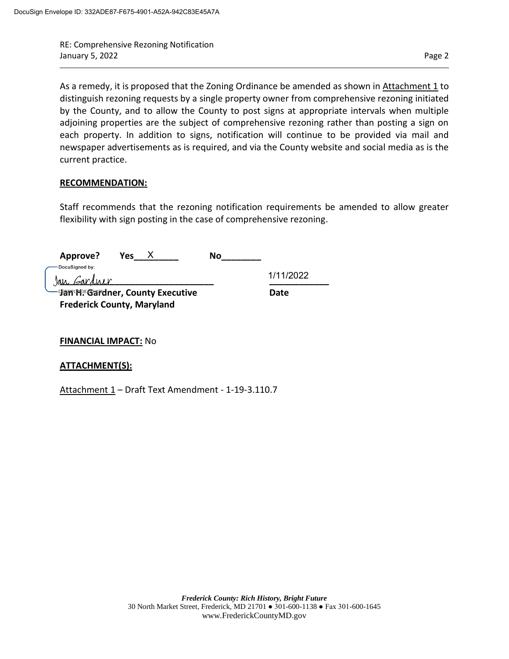RE: Comprehensive Rezoning Notification January 5, 2022 **Page 2** Page 2

As a remedy, it is proposed that the Zoning Ordinance be amended as shown in Attachment 1 to distinguish rezoning requests by a single property owner from comprehensive rezoning initiated by the County, and to allow the County to post signs at appropriate intervals when multiple adjoining properties are the subject of comprehensive rezoning rather than posting a sign on each property. In addition to signs, notification will continue to be provided via mail and newspaper advertisements as is required, and via the County website and social media as is the current practice.

#### **RECOMMENDATION:**

Staff recommends that the rezoning notification requirements be amended to allow greater flexibility with sign posting in the case of comprehensive rezoning.

| Approve?<br>Yes<br>No<br>-DocuSianed by: |           |
|------------------------------------------|-----------|
| Jan Gardner                              | 1/11/2022 |
| −9amº ም® Gardner, County Executive       | Date      |
| <b>Frederick County, Maryland</b>        |           |

### **FINANCIAL IMPACT:** No

### **ATTACHMENT(S):**

Attachment 1 – Draft Text Amendment - 1-19-3.110.7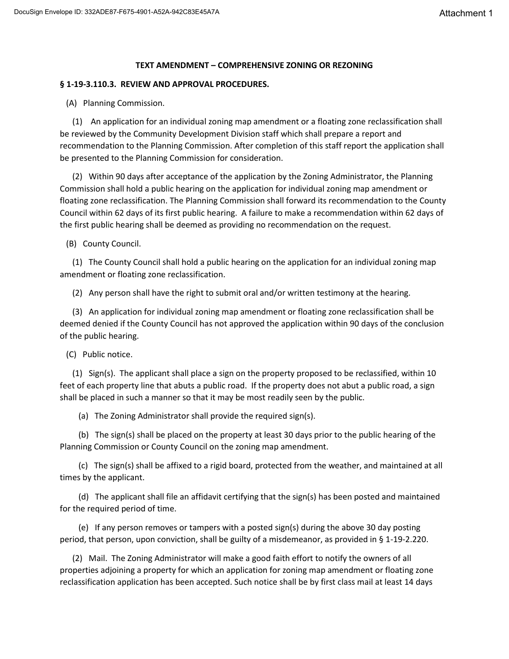# **TEXT AMENDMENT – COMPREHENSIVE ZONING OR REZONING**

## **§ 1-19-3.110.3. REVIEW AND APPROVAL PROCEDURES.**

(A) Planning Commission.

 (1) An application for an individual zoning map amendment or a floating zone reclassification shall be reviewed by the Community Development Division staff which shall prepare a report and recommendation to the Planning Commission. After completion of this staff report the application shall be presented to the Planning Commission for consideration.

 (2) Within 90 days after acceptance of the application by the Zoning Administrator, the Planning Commission shall hold a public hearing on the application for individual zoning map amendment or floating zone reclassification. The Planning Commission shall forward its recommendation to the County Council within 62 days of its first public hearing. A failure to make a recommendation within 62 days of the first public hearing shall be deemed as providing no recommendation on the request.

(B) County Council.

 (1) The County Council shall hold a public hearing on the application for an individual zoning map amendment or floating zone reclassification.

(2) Any person shall have the right to submit oral and/or written testimony at the hearing.

 (3) An application for individual zoning map amendment or floating zone reclassification shall be deemed denied if the County Council has not approved the application within 90 days of the conclusion of the public hearing.

(C) Public notice.

 (1) Sign(s). The applicant shall place a sign on the property proposed to be reclassified, within 10 feet of each property line that abuts a public road. If the property does not abut a public road, a sign shall be placed in such a manner so that it may be most readily seen by the public.

(a) The Zoning Administrator shall provide the required sign(s).

 (b) The sign(s) shall be placed on the property at least 30 days prior to the public hearing of the Planning Commission or County Council on the zoning map amendment.

 (c) The sign(s) shall be affixed to a rigid board, protected from the weather, and maintained at all times by the applicant.

 (d) The applicant shall file an affidavit certifying that the sign(s) has been posted and maintained for the required period of time.

 (e) If any person removes or tampers with a posted sign(s) during the above 30 day posting period, that person, upon conviction, shall be guilty of a misdemeanor, as provided in § 1-19-2.220.

 (2) Mail. The Zoning Administrator will make a good faith effort to notify the owners of all properties adjoining a property for which an application for zoning map amendment or floating zone reclassification application has been accepted. Such notice shall be by first class mail at least 14 days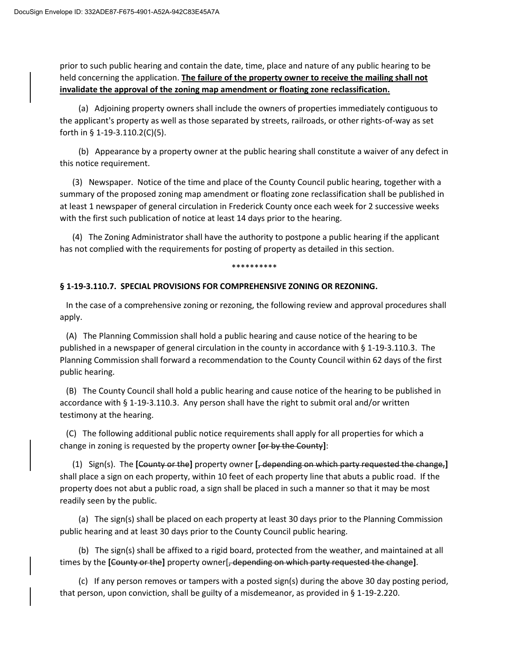prior to such public hearing and contain the date, time, place and nature of any public hearing to be held concerning the application. **The failure of the property owner to receive the mailing shall not invalidate the approval of the zoning map amendment or floating zone reclassification.**

 (a) Adjoining property owners shall include the owners of properties immediately contiguous to the applicant's property as well as those separated by streets, railroads, or other rights-of-way as set forth in § 1-19-3.110.2(C)(5).

 (b) Appearance by a property owner at the public hearing shall constitute a waiver of any defect in this notice requirement.

 (3) Newspaper. Notice of the time and place of the County Council public hearing, together with a summary of the proposed zoning map amendment or floating zone reclassification shall be published in at least 1 newspaper of general circulation in Frederick County once each week for 2 successive weeks with the first such publication of notice at least 14 days prior to the hearing.

 (4) The Zoning Administrator shall have the authority to postpone a public hearing if the applicant has not complied with the requirements for posting of property as detailed in this section.

\*\*\*\*\*\*\*\*\*\*

#### **§ 1-19-3.110.7. SPECIAL PROVISIONS FOR COMPREHENSIVE ZONING OR REZONING.**

 In the case of a comprehensive zoning or rezoning, the following review and approval procedures shall apply.

 (A) The Planning Commission shall hold a public hearing and cause notice of the hearing to be published in a newspaper of general circulation in the county in accordance with § 1-19-3.110.3. The Planning Commission shall forward a recommendation to the County Council within 62 days of the first public hearing.

 (B) The County Council shall hold a public hearing and cause notice of the hearing to be published in accordance with § 1-19-3.110.3. Any person shall have the right to submit oral and/or written testimony at the hearing.

 (C) The following additional public notice requirements shall apply for all properties for which a change in zoning is requested by the property owner **[**or by the County**]**:

 (1) Sign(s). The **[**County or the**]** property owner **[**, depending on which party requested the change,**]** shall place a sign on each property, within 10 feet of each property line that abuts a public road. If the property does not abut a public road, a sign shall be placed in such a manner so that it may be most readily seen by the public.

 (a) The sign(s) shall be placed on each property at least 30 days prior to the Planning Commission public hearing and at least 30 days prior to the County Council public hearing.

 (b) The sign(s) shall be affixed to a rigid board, protected from the weather, and maintained at all times by the **[**County or the**]** property owner[, depending on which party requested the change**]**.

 (c) If any person removes or tampers with a posted sign(s) during the above 30 day posting period, that person, upon conviction, shall be guilty of a misdemeanor, as provided in § 1-19-2.220.